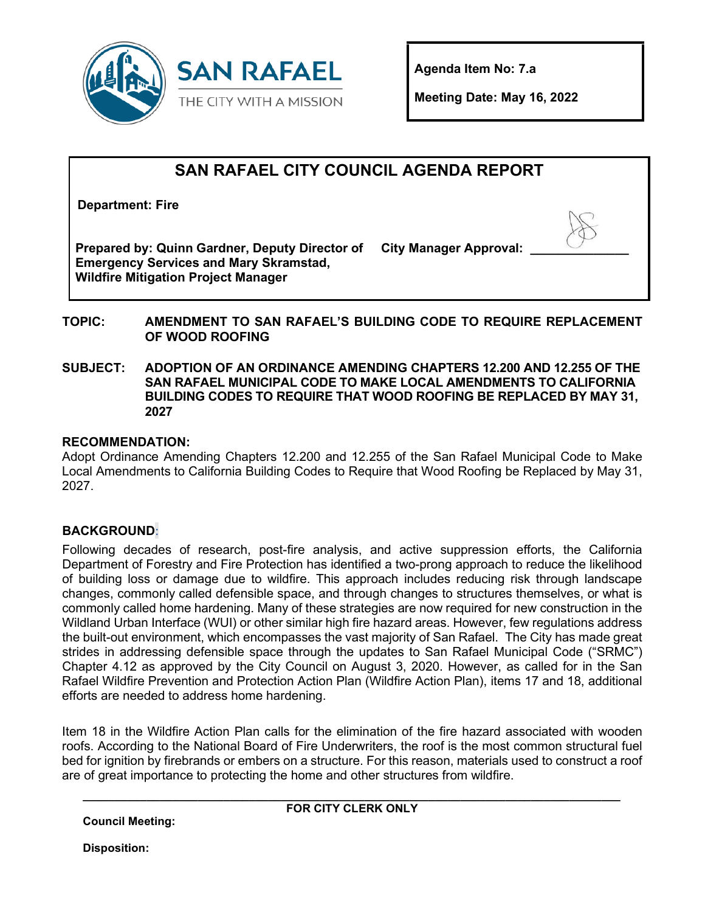

**Agenda Item No: 7.a** 

**Meeting Date: May 16, 2022** 

# **SAN RAFAEL CITY COUNCIL AGENDA REPORT**

**Department: Fire**

**Prepared by: Quinn Gardner, Deputy Director of Emergency Services and Mary Skramstad, Wildfire Mitigation Project Manager**

**City Manager Approval:** 

## **TOPIC: AMENDMENT TO SAN RAFAEL'S BUILDING CODE TO REQUIRE REPLACEMENT OF WOOD ROOFING**

**SUBJECT: ADOPTION OF AN ORDINANCE AMENDING CHAPTERS 12.200 AND 12.255 OF THE SAN RAFAEL MUNICIPAL CODE TO MAKE LOCAL AMENDMENTS TO CALIFORNIA BUILDING CODES TO REQUIRE THAT WOOD ROOFING BE REPLACED BY MAY 31, 2027** 

# **RECOMMENDATION:**

Adopt Ordinance Amending Chapters 12.200 and 12.255 of the San Rafael Municipal Code to Make Local Amendments to California Building Codes to Require that Wood Roofing be Replaced by May 31, 2027.

# **BACKGROUND**:

Following decades of research, post-fire analysis, and active suppression efforts, the California Department of Forestry and Fire Protection has identified a two-prong approach to reduce the likelihood of building loss or damage due to wildfire. This approach includes reducing risk through landscape changes, commonly called defensible space, and through changes to structures themselves, or what is commonly called home hardening. Many of these strategies are now required for new construction in the Wildland Urban Interface (WUI) or other similar high fire hazard areas. However, few regulations address the built-out environment, which encompasses the vast majority of San Rafael. The City has made great strides in addressing defensible space through the updates to San Rafael Municipal Code ("SRMC") Chapter 4.12 as approved by the City Council on August 3, 2020. However, as called for in the San Rafael Wildfire Prevention and Protection Action Plan (Wildfire Action Plan), items 17 and 18, additional efforts are needed to address home hardening.

Item 18 in the Wildfire Action Plan calls for the elimination of the fire hazard associated with wooden roofs. According to the National Board of Fire Underwriters, the roof is the most common structural fuel bed for ignition by firebrands or embers on a structure. For this reason, materials used to construct a roof are of great importance to protecting the home and other structures from wildfire.

**Council Meeting:** 

**\_\_\_\_\_\_\_\_\_\_\_\_\_\_\_\_\_\_\_\_\_\_\_\_\_\_\_\_\_\_\_\_\_\_\_\_\_\_\_\_\_\_\_\_\_\_\_\_\_\_\_\_\_\_\_\_\_\_\_\_\_\_\_\_\_\_\_\_\_\_\_\_\_\_\_\_\_\_\_\_\_\_\_\_ FOR CITY CLERK ONLY**

**Disposition:**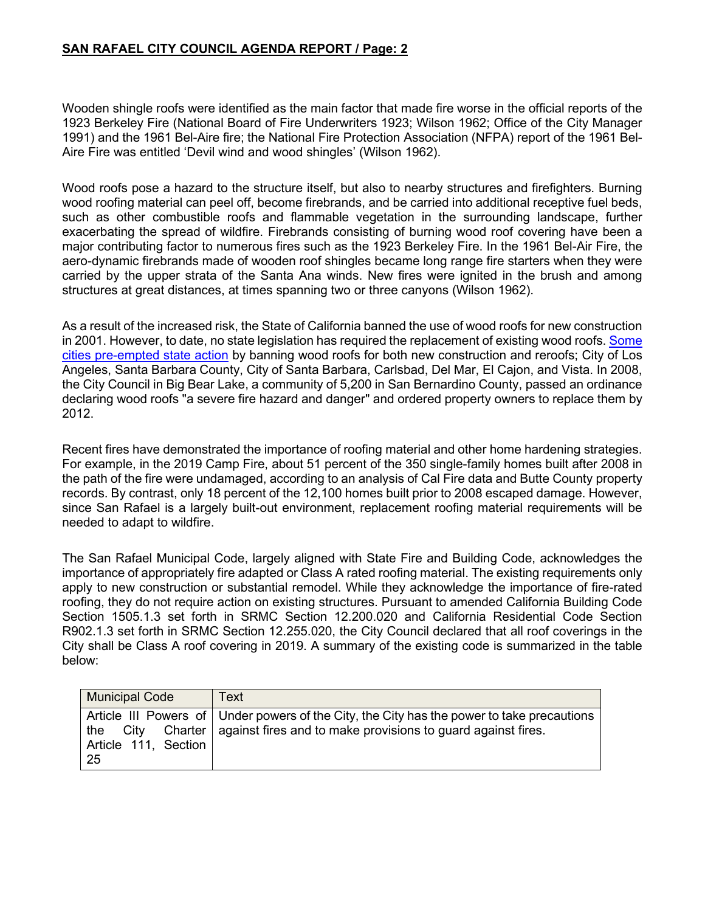Wooden shingle roofs were identified as the main factor that made fire worse in the official reports of the 1923 Berkeley Fire (National Board of Fire Underwriters 1923; Wilson 1962; Office of the City Manager 1991) and the 1961 Bel-Aire fire; the National Fire Protection Association (NFPA) report of the 1961 Bel-Aire Fire was entitled 'Devil wind and wood shingles' (Wilson 1962).

Wood roofs pose a hazard to the structure itself, but also to nearby structures and firefighters. Burning wood roofing material can peel off, become firebrands, and be carried into additional receptive fuel beds, such as other combustible roofs and flammable vegetation in the surrounding landscape, further exacerbating the spread of wildfire. Firebrands consisting of burning wood roof covering have been a major contributing factor to numerous fires such as the 1923 Berkeley Fire. In the 1961 Bel-Air Fire, the aero-dynamic firebrands made of wooden roof shingles became long range fire starters when they were carried by the upper strata of the Santa Ana winds. New fires were ignited in the brush and among structures at great distances, at times spanning two or three canyons (Wilson 1962).

As a result of the increased risk, the State of California banned the use of wood roofs for new construction in 2001. However, to date, no state legislation has required the replacement of existing wood roofs. Some [cities pre-empted state action](https://www.ocgrandjury.org/pdfs/woodroofs.pdf) by banning wood roofs for both new construction and reroofs; City of Los Angeles, Santa Barbara County, City of Santa Barbara, Carlsbad, Del Mar, El Cajon, and Vista. In 2008, the City Council in Big Bear Lake, a community of 5,200 in San Bernardino County, passed an ordinance declaring wood roofs "a severe fire hazard and danger" and ordered property owners to replace them by 2012.

Recent fires have demonstrated the importance of roofing material and other home hardening strategies. For example, in the 2019 Camp Fire, about 51 percent of the 350 single-family homes built after 2008 in the path of the fire were undamaged, according to an analysis of Cal Fire data and Butte County property records. By contrast, only 18 percent of the 12,100 homes built prior to 2008 escaped damage. However, since San Rafael is a largely built-out environment, replacement roofing material requirements will be needed to adapt to wildfire.

The San Rafael Municipal Code, largely aligned with State Fire and Building Code, acknowledges the importance of appropriately fire adapted or Class A rated roofing material. The existing requirements only apply to new construction or substantial remodel. While they acknowledge the importance of fire-rated roofing, they do not require action on existing structures. Pursuant to amended California Building Code Section 1505.1.3 set forth in SRMC Section 12.200.020 and California Residential Code Section R902.1.3 set forth in SRMC Section 12.255.020, the City Council declared that all roof coverings in the City shall be Class A roof covering in 2019. A summary of the existing code is summarized in the table below:

| <b>Municipal Code</b> | Text                                                                                       |
|-----------------------|--------------------------------------------------------------------------------------------|
| Article 111, Section  | Article III Powers of Under powers of the City, the City has the power to take precautions |
| -25                   | the City Charter   against fires and to make provisions to guard against fires.            |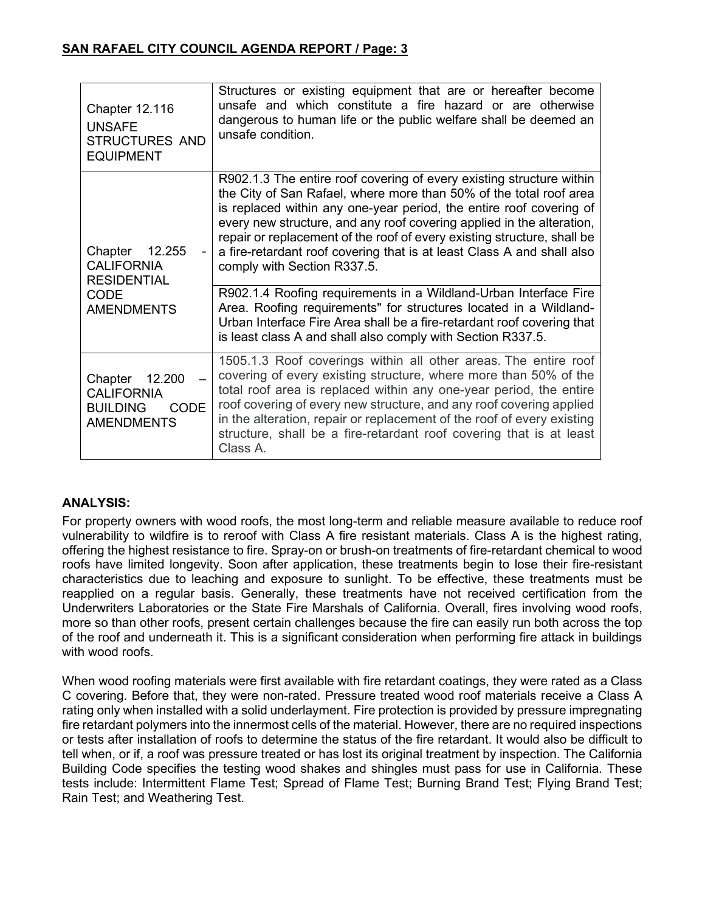| <b>Chapter 12.116</b><br><b>UNSAFE</b><br><b>STRUCTURES AND</b><br><b>EQUIPMENT</b>           | Structures or existing equipment that are or hereafter become<br>unsafe and which constitute a fire hazard or are otherwise<br>dangerous to human life or the public welfare shall be deemed an<br>unsafe condition.                                                                                                                                                                                                                                                                                                                                                                                                    |
|-----------------------------------------------------------------------------------------------|-------------------------------------------------------------------------------------------------------------------------------------------------------------------------------------------------------------------------------------------------------------------------------------------------------------------------------------------------------------------------------------------------------------------------------------------------------------------------------------------------------------------------------------------------------------------------------------------------------------------------|
| 12.255<br>Chapter<br><b>CALIFORNIA</b><br><b>RESIDENTIAL</b><br>CODE                          | R902.1.3 The entire roof covering of every existing structure within<br>the City of San Rafael, where more than 50% of the total roof area<br>is replaced within any one-year period, the entire roof covering of<br>every new structure, and any roof covering applied in the alteration,<br>repair or replacement of the roof of every existing structure, shall be<br>a fire-retardant roof covering that is at least Class A and shall also<br>comply with Section R337.5.<br>R902.1.4 Roofing requirements in a Wildland-Urban Interface Fire<br>Area. Roofing requirements" for structures located in a Wildland- |
| <b>AMENDMENTS</b>                                                                             | Urban Interface Fire Area shall be a fire-retardant roof covering that<br>is least class A and shall also comply with Section R337.5.                                                                                                                                                                                                                                                                                                                                                                                                                                                                                   |
| Chapter<br>12.200<br><b>CALIFORNIA</b><br><b>BUILDING</b><br><b>CODE</b><br><b>AMENDMENTS</b> | 1505.1.3 Roof coverings within all other areas. The entire roof<br>covering of every existing structure, where more than 50% of the<br>total roof area is replaced within any one-year period, the entire<br>roof covering of every new structure, and any roof covering applied<br>in the alteration, repair or replacement of the roof of every existing<br>structure, shall be a fire-retardant roof covering that is at least<br>Class A.                                                                                                                                                                           |

# **ANALYSIS:**

For property owners with wood roofs, the most long-term and reliable measure available to reduce roof vulnerability to wildfire is to reroof with Class A fire resistant materials. Class A is the highest rating, offering the highest resistance to fire. Spray-on or brush-on treatments of fire-retardant chemical to wood roofs have limited longevity. Soon after application, these treatments begin to lose their fire-resistant characteristics due to leaching and exposure to sunlight. To be effective, these treatments must be reapplied on a regular basis. Generally, these treatments have not received certification from the Underwriters Laboratories or the State Fire Marshals of California. Overall, fires involving wood roofs, more so than other roofs, present certain challenges because the fire can easily run both across the top of the roof and underneath it. This is a significant consideration when performing fire attack in buildings with wood roofs.

When wood roofing materials were first available with fire retardant coatings, they were rated as a Class C covering. Before that, they were non-rated. Pressure treated wood roof materials receive a Class A rating only when installed with a solid underlayment. Fire protection is provided by pressure impregnating fire retardant polymers into the innermost cells of the material. However, there are no required inspections or tests after installation of roofs to determine the status of the fire retardant. It would also be difficult to tell when, or if, a roof was pressure treated or has lost its original treatment by inspection. The California Building Code specifies the testing wood shakes and shingles must pass for use in California. These tests include: Intermittent Flame Test; Spread of Flame Test; Burning Brand Test; Flying Brand Test; Rain Test; and Weathering Test.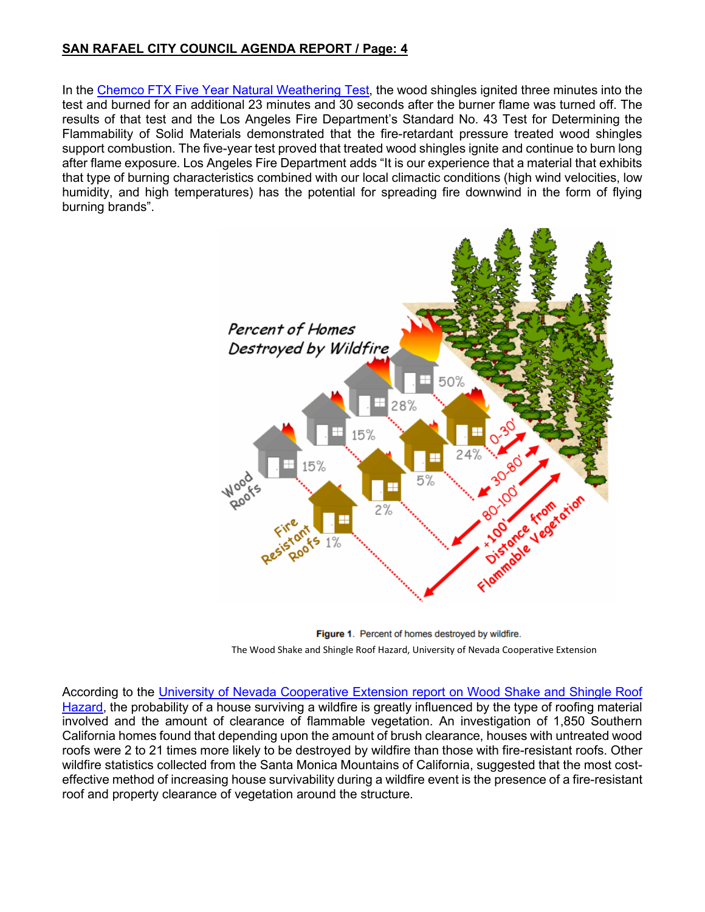In the [Chemco FTX Five Year Natural Weathering Test,](https://www.lafd.org/fire-prevention/fire-development-services/wood-roof-guidelines) the wood shingles ignited three minutes into the test and burned for an additional 23 minutes and 30 seconds after the burner flame was turned off. The results of that test and the Los Angeles Fire Department's Standard No. 43 Test for Determining the Flammability of Solid Materials demonstrated that the fire-retardant pressure treated wood shingles support combustion. The five-year test proved that treated wood shingles ignite and continue to burn long after flame exposure. Los Angeles Fire Department adds "It is our experience that a material that exhibits that type of burning characteristics combined with our local climactic conditions (high wind velocities, low humidity, and high temperatures) has the potential for spreading fire downwind in the form of flying burning brands".



**Figure 1**. Percent of homes destroyed by wildfire.<br>The Wood Shake and Shingle Roof Hazard, University of Nevada Cooperative Extension

According to the [University of Nevada Cooperative Extension report on Wood Shake and Shingle Roof](https://cecentralsierra.ucanr.edu/files/145303.pdf?msclkid=a9b3f1edc26f11ec8c1ac9c3f4dad31f)  [Hazard,](https://cecentralsierra.ucanr.edu/files/145303.pdf?msclkid=a9b3f1edc26f11ec8c1ac9c3f4dad31f) the probability of a house surviving a wildfire is greatly influenced by the type of roofing material involved and the amount of clearance of flammable vegetation. An investigation of 1,850 Southern California homes found that depending upon the amount of brush clearance, houses with untreated wood roofs were 2 to 21 times more likely to be destroyed by wildfire than those with fire-resistant roofs. Other wildfire statistics collected from the Santa Monica Mountains of California, suggested that the most costeffective method of increasing house survivability during a wildfire event is the presence of a fire-resistant roof and property clearance of vegetation around the structure.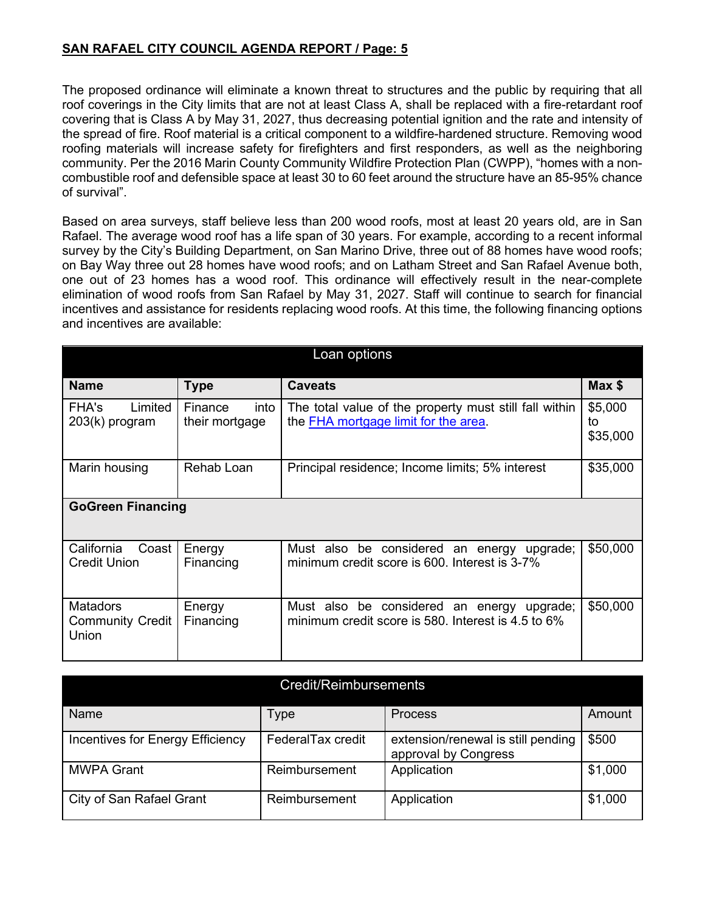The proposed ordinance will eliminate a known threat to structures and the public by requiring that all roof coverings in the City limits that are not at least Class A, shall be replaced with a fire-retardant roof covering that is Class A by May 31, 2027, thus decreasing potential ignition and the rate and intensity of the spread of fire. Roof material is a critical component to a wildfire-hardened structure. Removing wood roofing materials will increase safety for firefighters and first responders, as well as the neighboring community. Per the 2016 Marin County Community Wildfire Protection Plan (CWPP), "homes with a noncombustible roof and defensible space at least 30 to 60 feet around the structure have an 85-95% chance of survival".

Based on area surveys, staff believe less than 200 wood roofs, most at least 20 years old, are in San Rafael. The average wood roof has a life span of 30 years. For example, according to a recent informal survey by the City's Building Department, on San Marino Drive, three out of 88 homes have wood roofs; on Bay Way three out 28 homes have wood roofs; and on Latham Street and San Rafael Avenue both, one out of 23 homes has a wood roof. This ordinance will effectively result in the near-complete elimination of wood roofs from San Rafael by May 31, 2027. Staff will continue to search for financial incentives and assistance for residents replacing wood roofs. At this time, the following financing options and incentives are available:

| Loan options                                 |                                   |                                                                                                     |                           |  |
|----------------------------------------------|-----------------------------------|-----------------------------------------------------------------------------------------------------|---------------------------|--|
| <b>Name</b>                                  | Type                              | <b>Caveats</b>                                                                                      | Max \$                    |  |
| Limited<br>FHA's<br>203(k) program           | Finance<br>into<br>their mortgage | The total value of the property must still fall within<br>the FHA mortgage limit for the area.      | \$5,000<br>to<br>\$35,000 |  |
| Marin housing                                | Rehab Loan                        | Principal residence; Income limits; 5% interest                                                     | \$35,000                  |  |
| <b>GoGreen Financing</b>                     |                                   |                                                                                                     |                           |  |
| California<br>Coast  <br><b>Credit Union</b> | Energy<br>Financing               | Must also be considered an energy upgrade;<br>minimum credit score is 600. Interest is 3-7%         | \$50,000                  |  |
| <b>Matadors</b><br>Community Credit<br>Union | Energy<br>Financing               | Must also be considered an energy<br>upgrade;<br>minimum credit score is 580. Interest is 4.5 to 6% | \$50,000                  |  |

| Credit/Reimbursements            |                   |                                                            |         |  |
|----------------------------------|-------------------|------------------------------------------------------------|---------|--|
| Name                             | Type              | <b>Process</b>                                             | Amount  |  |
| Incentives for Energy Efficiency | FederalTax credit | extension/renewal is still pending<br>approval by Congress | \$500   |  |
| <b>MWPA Grant</b>                | Reimbursement     | Application                                                | \$1,000 |  |
| City of San Rafael Grant         | Reimbursement     | Application                                                | \$1,000 |  |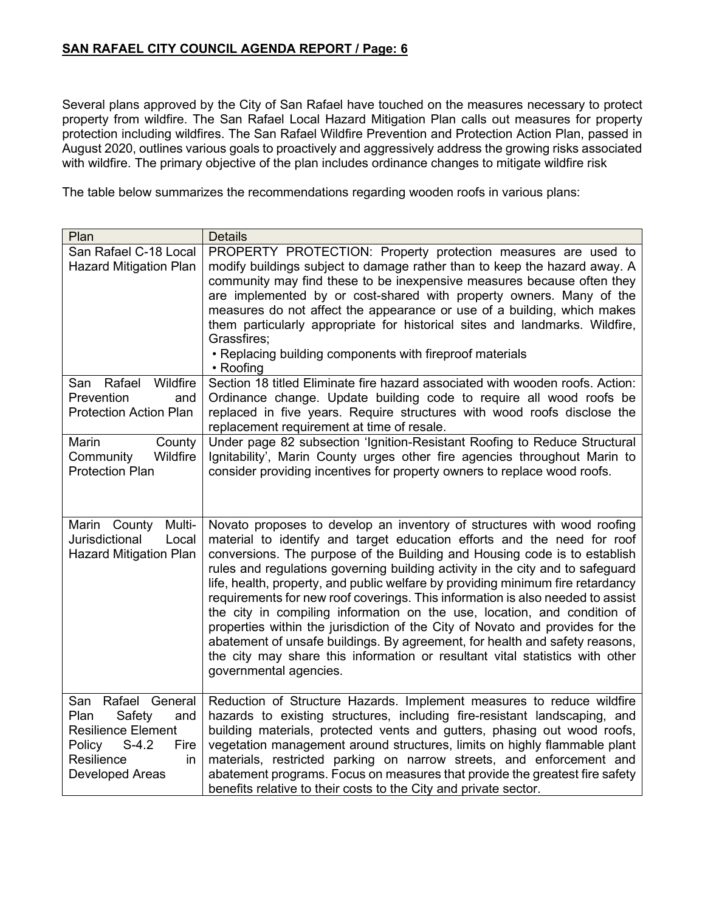Several plans approved by the City of San Rafael have touched on the measures necessary to protect property from wildfire. The San Rafael Local Hazard Mitigation Plan calls out measures for property protection including wildfires. The San Rafael Wildfire Prevention and Protection Action Plan, passed in August 2020, outlines various goals to proactively and aggressively address the growing risks associated with wildfire. The primary objective of the plan includes ordinance changes to mitigate wildfire risk

The table below summarizes the recommendations regarding wooden roofs in various plans:

| Plan                                                                                                                                                   | <b>Details</b>                                                                                                                                                                                                                                                                                                                                                                                                                                                                                                                                                                                                                                                                                                                                                                                                                               |
|--------------------------------------------------------------------------------------------------------------------------------------------------------|----------------------------------------------------------------------------------------------------------------------------------------------------------------------------------------------------------------------------------------------------------------------------------------------------------------------------------------------------------------------------------------------------------------------------------------------------------------------------------------------------------------------------------------------------------------------------------------------------------------------------------------------------------------------------------------------------------------------------------------------------------------------------------------------------------------------------------------------|
| San Rafael C-18 Local<br><b>Hazard Mitigation Plan</b>                                                                                                 | PROPERTY PROTECTION: Property protection measures are used to<br>modify buildings subject to damage rather than to keep the hazard away. A<br>community may find these to be inexpensive measures because often they<br>are implemented by or cost-shared with property owners. Many of the<br>measures do not affect the appearance or use of a building, which makes<br>them particularly appropriate for historical sites and landmarks. Wildfire,<br>Grassfires;<br>• Replacing building components with fireproof materials<br>• Roofing                                                                                                                                                                                                                                                                                                |
| Rafael<br>Wildfire<br>San<br>Prevention<br>and<br><b>Protection Action Plan</b>                                                                        | Section 18 titled Eliminate fire hazard associated with wooden roofs. Action:<br>Ordinance change. Update building code to require all wood roofs be<br>replaced in five years. Require structures with wood roofs disclose the<br>replacement requirement at time of resale.                                                                                                                                                                                                                                                                                                                                                                                                                                                                                                                                                                |
| Marin<br>County<br>Community<br>Wildfire<br><b>Protection Plan</b>                                                                                     | Under page 82 subsection 'Ignition-Resistant Roofing to Reduce Structural<br>Ignitability', Marin County urges other fire agencies throughout Marin to<br>consider providing incentives for property owners to replace wood roofs.                                                                                                                                                                                                                                                                                                                                                                                                                                                                                                                                                                                                           |
| Multi-<br>Marin County<br><b>Jurisdictional</b><br>Local<br><b>Hazard Mitigation Plan</b>                                                              | Novato proposes to develop an inventory of structures with wood roofing<br>material to identify and target education efforts and the need for roof<br>conversions. The purpose of the Building and Housing code is to establish<br>rules and regulations governing building activity in the city and to safeguard<br>life, health, property, and public welfare by providing minimum fire retardancy<br>requirements for new roof coverings. This information is also needed to assist<br>the city in compiling information on the use, location, and condition of<br>properties within the jurisdiction of the City of Novato and provides for the<br>abatement of unsafe buildings. By agreement, for health and safety reasons,<br>the city may share this information or resultant vital statistics with other<br>governmental agencies. |
| Rafael General<br>San<br>Plan<br>Safety<br>and<br><b>Resilience Element</b><br>Policy<br>$S-4.2$<br>Fire<br>Resilience<br>in<br><b>Developed Areas</b> | Reduction of Structure Hazards. Implement measures to reduce wildfire<br>hazards to existing structures, including fire-resistant landscaping, and<br>building materials, protected vents and gutters, phasing out wood roofs,<br>vegetation management around structures, limits on highly flammable plant<br>materials, restricted parking on narrow streets, and enforcement and<br>abatement programs. Focus on measures that provide the greatest fire safety<br>benefits relative to their costs to the City and private sector.                                                                                                                                                                                                                                                                                                       |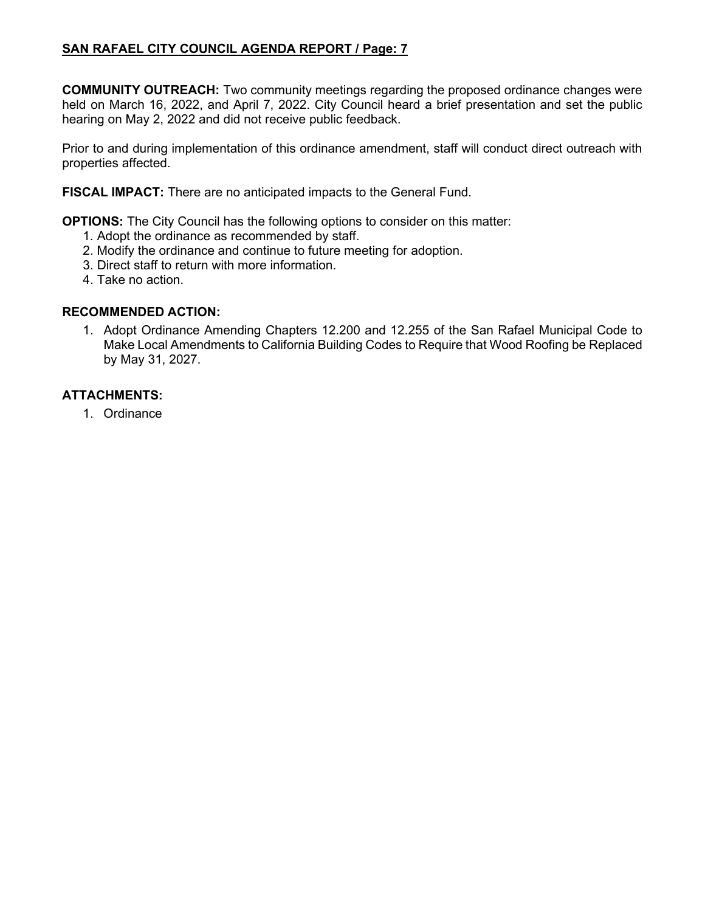**COMMUNITY OUTREACH:** Two community meetings regarding the proposed ordinance changes were held on March 16, 2022, and April 7, 2022. City Council heard a brief presentation and set the public hearing on May 2, 2022 and did not receive public feedback.

Prior to and during implementation of this ordinance amendment, staff will conduct direct outreach with properties affected.

**FISCAL IMPACT:** There are no anticipated impacts to the General Fund.

**OPTIONS:** The City Council has the following options to consider on this matter:

- 1. Adopt the ordinance as recommended by staff.
- 2. Modify the ordinance and continue to future meeting for adoption.
- 3. Direct staff to return with more information.
- 4. Take no action.

## **RECOMMENDED ACTION:**

1. Adopt Ordinance Amending Chapters 12.200 and 12.255 of the San Rafael Municipal Code to Make Local Amendments to California Building Codes to Require that Wood Roofing be Replaced by May 31, 2027.

## **ATTACHMENTS:**

1. Ordinance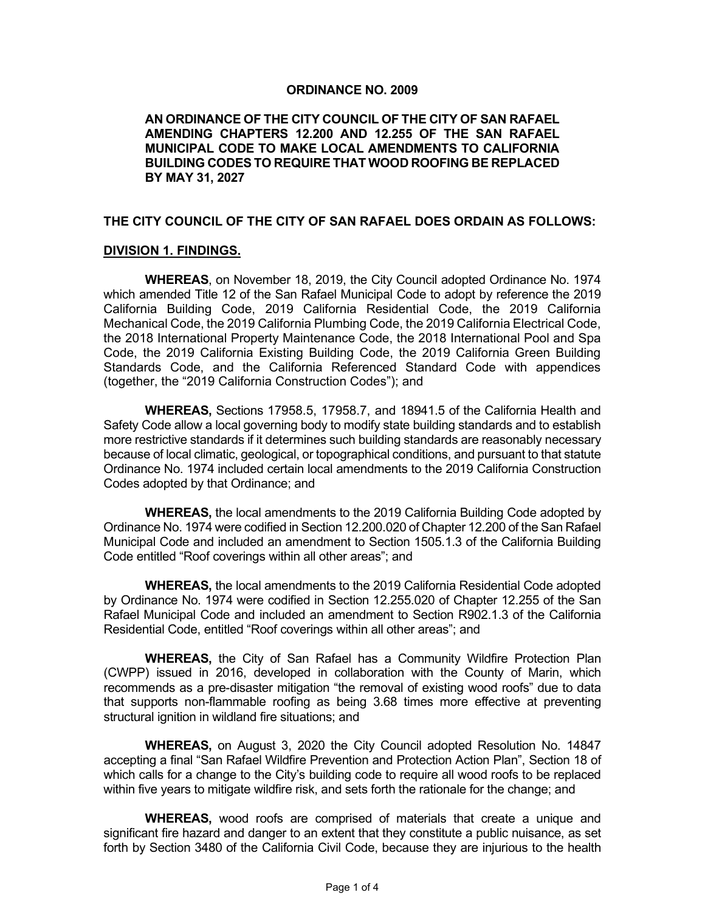#### **ORDINANCE NO. 2009**

#### **AN ORDINANCE OF THE CITY COUNCIL OF THE CITY OF SAN RAFAEL AMENDING CHAPTERS 12.200 AND 12.255 OF THE SAN RAFAEL MUNICIPAL CODE TO MAKE LOCAL AMENDMENTS TO CALIFORNIA BUILDING CODES TO REQUIRE THAT WOOD ROOFING BE REPLACED BY MAY 31, 2027**

#### **THE CITY COUNCIL OF THE CITY OF SAN RAFAEL DOES ORDAIN AS FOLLOWS:**

#### **DIVISION 1. FINDINGS.**

**WHEREAS**, on November 18, 2019, the City Council adopted Ordinance No. 1974 which amended Title 12 of the San Rafael Municipal Code to adopt by reference the 2019 California Building Code, 2019 California Residential Code, the 2019 California Mechanical Code, the 2019 California Plumbing Code, the 2019 California Electrical Code, the 2018 International Property Maintenance Code, the 2018 International Pool and Spa Code, the 2019 California Existing Building Code, the 2019 California Green Building Standards Code, and the California Referenced Standard Code with appendices (together, the "2019 California Construction Codes"); and

**WHEREAS,** Sections 17958.5, 17958.7, and 18941.5 of the California Health and Safety Code allow a local governing body to modify state building standards and to establish more restrictive standards if it determines such building standards are reasonably necessary because of local climatic, geological, or topographical conditions, and pursuant to that statute Ordinance No. 1974 included certain local amendments to the 2019 California Construction Codes adopted by that Ordinance; and

**WHEREAS,** the local amendments to the 2019 California Building Code adopted by Ordinance No. 1974 were codified in Section 12.200.020 of Chapter 12.200 of the San Rafael Municipal Code and included an amendment to Section 1505.1.3 of the California Building Code entitled "Roof coverings within all other areas"; and

**WHEREAS,** the local amendments to the 2019 California Residential Code adopted by Ordinance No. 1974 were codified in Section 12.255.020 of Chapter 12.255 of the San Rafael Municipal Code and included an amendment to Section R902.1.3 of the California Residential Code, entitled "Roof coverings within all other areas"; and

**WHEREAS,** the City of San Rafael has a Community Wildfire Protection Plan (CWPP) issued in 2016, developed in collaboration with the County of Marin, which recommends as a pre-disaster mitigation "the removal of existing wood roofs" due to data that supports non-flammable roofing as being 3.68 times more effective at preventing structural ignition in wildland fire situations; and

**WHEREAS,** on August 3, 2020 the City Council adopted Resolution No. 14847 accepting a final "San Rafael Wildfire Prevention and Protection Action Plan", Section 18 of which calls for a change to the City's building code to require all wood roofs to be replaced within five years to mitigate wildfire risk, and sets forth the rationale for the change; and

**WHEREAS,** wood roofs are comprised of materials that create a unique and significant fire hazard and danger to an extent that they constitute a public nuisance, as set forth by Section 3480 of the California Civil Code, because they are injurious to the health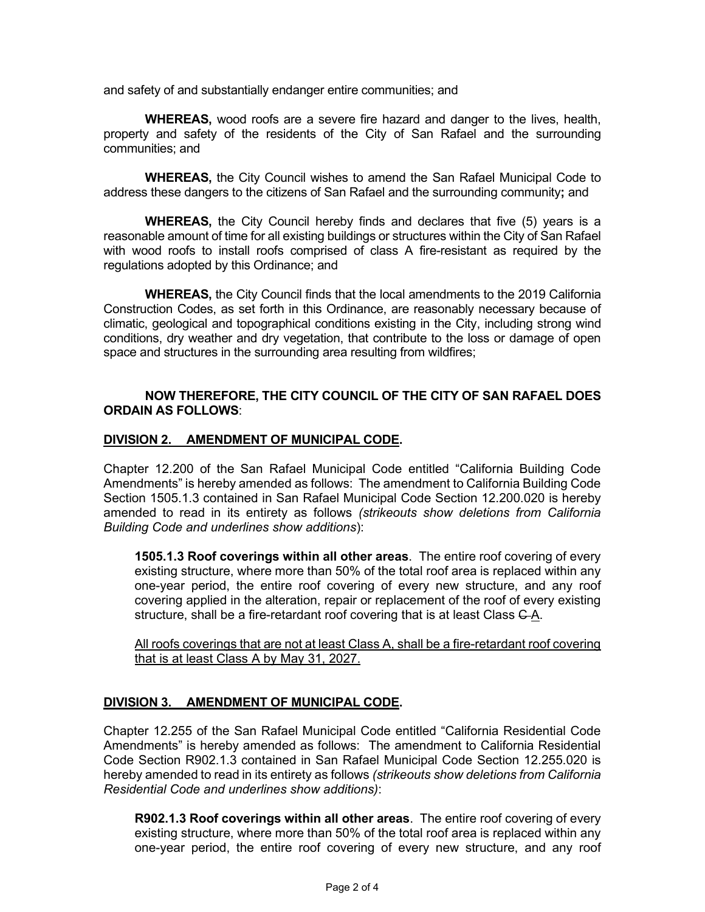and safety of and substantially endanger entire communities; and

**WHEREAS,** wood roofs are a severe fire hazard and danger to the lives, health, property and safety of the residents of the City of San Rafael and the surrounding communities; and

**WHEREAS,** the City Council wishes to amend the San Rafael Municipal Code to address these dangers to the citizens of San Rafael and the surrounding community**;** and

**WHEREAS,** the City Council hereby finds and declares that five (5) years is a reasonable amount of time for all existing buildings or structures within the City of San Rafael with wood roofs to install roofs comprised of class A fire-resistant as required by the regulations adopted by this Ordinance; and

**WHEREAS,** the City Council finds that the local amendments to the 2019 California Construction Codes, as set forth in this Ordinance, are reasonably necessary because of climatic, geological and topographical conditions existing in the City, including strong wind conditions, dry weather and dry vegetation, that contribute to the loss or damage of open space and structures in the surrounding area resulting from wildfires;

#### **NOW THEREFORE, THE CITY COUNCIL OF THE CITY OF SAN RAFAEL DOES ORDAIN AS FOLLOWS**:

#### **DIVISION 2. AMENDMENT OF MUNICIPAL CODE.**

Chapter 12.200 of the San Rafael Municipal Code entitled "California Building Code Amendments" is hereby amended as follows: The amendment to California Building Code Section 1505.1.3 contained in San Rafael Municipal Code Section 12.200.020 is hereby amended to read in its entirety as follows *(strikeouts show deletions from California Building Code and underlines show additions*):

**1505.1.3 Roof coverings within all other areas**. The entire roof covering of every existing structure, where more than 50% of the total roof area is replaced within any one-year period, the entire roof covering of every new structure, and any roof covering applied in the alteration, repair or replacement of the roof of every existing structure, shall be a fire-retardant roof covering that is at least Class C-A.

All roofs coverings that are not at least Class A, shall be a fire-retardant roof covering that is at least Class A by May 31, 2027.

### **DIVISION 3. AMENDMENT OF MUNICIPAL CODE.**

Chapter 12.255 of the San Rafael Municipal Code entitled "California Residential Code Amendments" is hereby amended as follows: The amendment to California Residential Code Section R902.1.3 contained in San Rafael Municipal Code Section 12.255.020 is hereby amended to read in its entirety as follows *(strikeouts show deletions from California Residential Code and underlines show additions)*:

**R902.1.3 Roof coverings within all other areas**. The entire roof covering of every existing structure, where more than 50% of the total roof area is replaced within any one-year period, the entire roof covering of every new structure, and any roof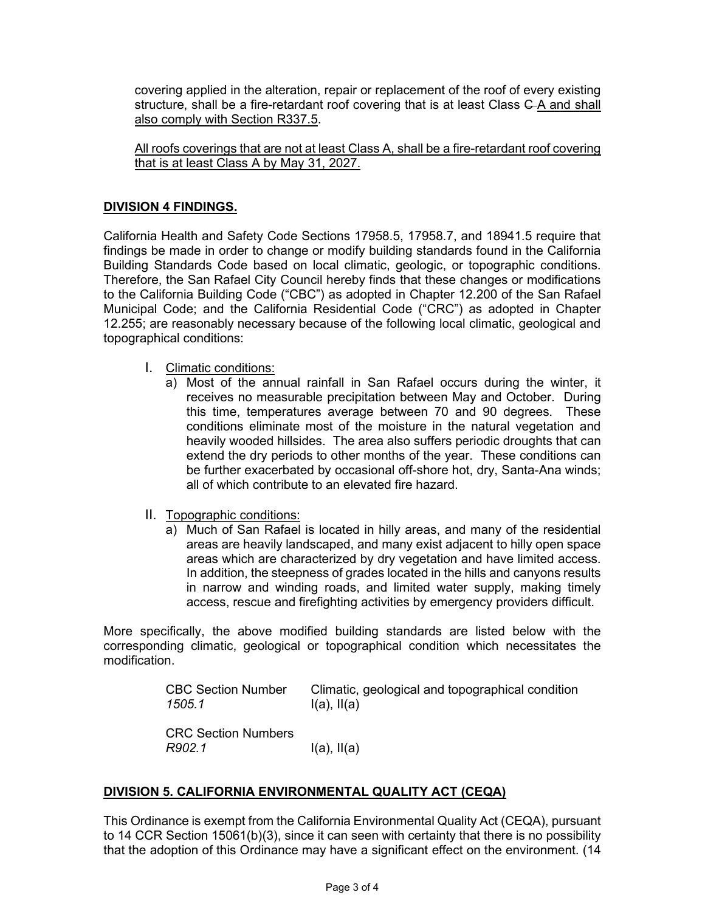covering applied in the alteration, repair or replacement of the roof of every existing structure, shall be a fire-retardant roof covering that is at least Class C-A and shall also comply with Section R337.5.

All roofs coverings that are not at least Class A, shall be a fire-retardant roof covering that is at least Class A by May 31, 2027.

## **DIVISION 4 FINDINGS.**

California Health and Safety Code Sections 17958.5, 17958.7, and 18941.5 require that findings be made in order to change or modify building standards found in the California Building Standards Code based on local climatic, geologic, or topographic conditions. Therefore, the San Rafael City Council hereby finds that these changes or modifications to the California Building Code ("CBC") as adopted in Chapter 12.200 of the San Rafael Municipal Code; and the California Residential Code ("CRC") as adopted in Chapter 12.255; are reasonably necessary because of the following local climatic, geological and topographical conditions:

- I. Climatic conditions:
	- a) Most of the annual rainfall in San Rafael occurs during the winter, it receives no measurable precipitation between May and October. During this time, temperatures average between 70 and 90 degrees. These conditions eliminate most of the moisture in the natural vegetation and heavily wooded hillsides. The area also suffers periodic droughts that can extend the dry periods to other months of the year. These conditions can be further exacerbated by occasional off-shore hot, dry, Santa-Ana winds; all of which contribute to an elevated fire hazard.
- II. Topographic conditions:
	- a) Much of San Rafael is located in hilly areas, and many of the residential areas are heavily landscaped, and many exist adjacent to hilly open space areas which are characterized by dry vegetation and have limited access. In addition, the steepness of grades located in the hills and canyons results in narrow and winding roads, and limited water supply, making timely access, rescue and firefighting activities by emergency providers difficult.

More specifically, the above modified building standards are listed below with the corresponding climatic, geological or topographical condition which necessitates the modification.

> CBC Section Number Climatic, geological and topographical condition  $1505.1$   $I(a)$ ,  $I(a)$ *1505.1* I(a), II(a)

CRC Section Numbers *R902.1* I(a), II(a)

# **DIVISION 5. CALIFORNIA ENVIRONMENTAL QUALITY ACT (CEQA)**

This Ordinance is exempt from the California Environmental Quality Act (CEQA), pursuant to 14 CCR Section 15061(b)(3), since it can seen with certainty that there is no possibility that the adoption of this Ordinance may have a significant effect on the environment. (14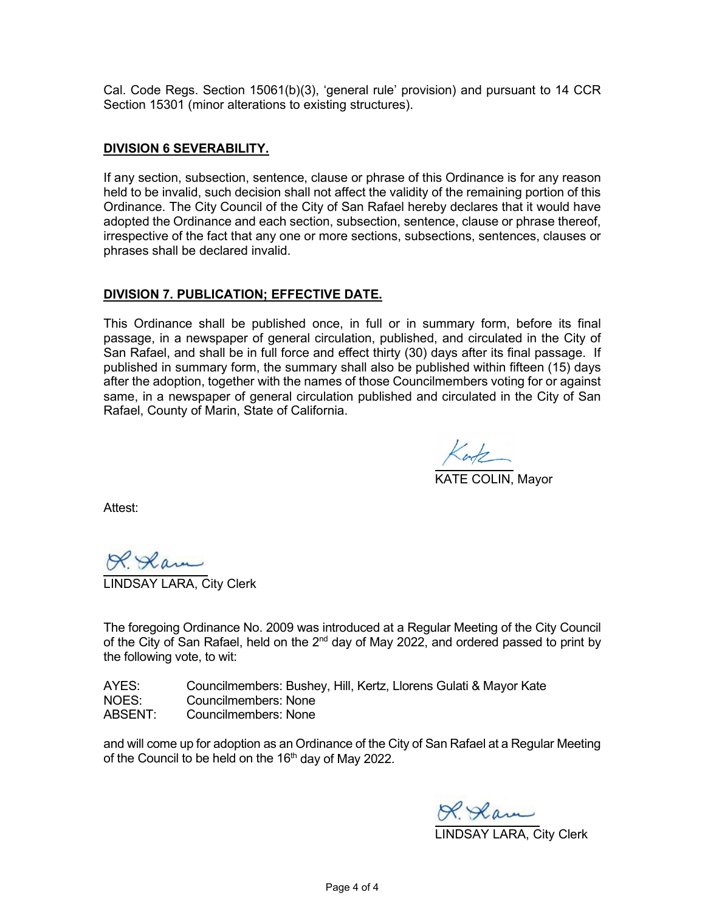Cal. Code Regs. Section 15061(b)(3), 'general rule' provision) and pursuant to 14 CCR Section 15301 (minor alterations to existing structures).

#### **DIVISION 6 SEVERABILITY.**

If any section, subsection, sentence, clause or phrase of this Ordinance is for any reason held to be invalid, such decision shall not affect the validity of the remaining portion of this Ordinance. The City Council of the City of San Rafael hereby declares that it would have adopted the Ordinance and each section, subsection, sentence, clause or phrase thereof, irrespective of the fact that any one or more sections, subsections, sentences, clauses or phrases shall be declared invalid.

#### **DIVISION 7. PUBLICATION; EFFECTIVE DATE.**

This Ordinance shall be published once, in full or in summary form, before its final passage, in a newspaper of general circulation, published, and circulated in the City of San Rafael, and shall be in full force and effect thirty (30) days after its final passage. If published in summary form, the summary shall also be published within fifteen (15) days after the adoption, together with the names of those Councilmembers voting for or against same, in a newspaper of general circulation published and circulated in the City of San Rafael, County of Marin, State of California.

 $Ker\&$  Mayor

Attest:

<u>R. Slam</u><br>JDSAY LARA, City Clerk

The foregoing Ordinance No. 2009 was introduced at a Regular Meeting of the City Council of the City of San Rafael, held on the  $2^{nd}$  day of May 2022, and ordered passed to print by the following vote, to wit:

| AYES:   | Councilmembers: Bushey, Hill, Kertz, Llorens Gulati & Mayor Kate |
|---------|------------------------------------------------------------------|
| NOES:   | Councilmembers: None                                             |
| ABSENT: | Councilmembers: None                                             |

and will come up for adoption as an Ordinance of the City of San Rafael at a Regular Meeting of the Council to be held on the 16<sup>th</sup> day of May 2022.

R. Ram<br>LINDSAY LARA, City Clerk